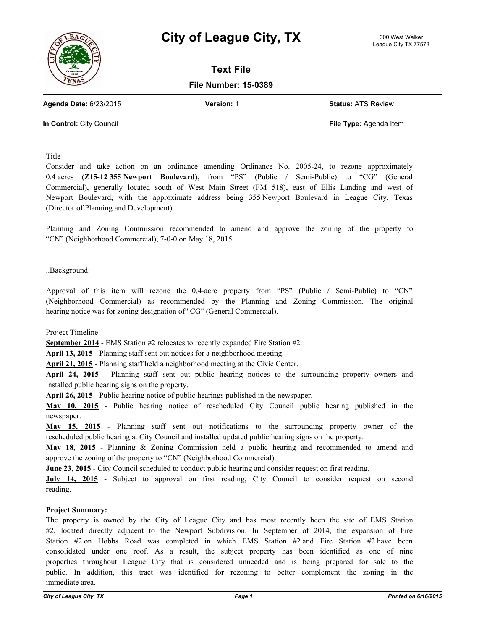



**Text File**

## **File Number: 15-0389**

**Agenda Date:** 6/23/2015 **Version:** 1 **Status:** ATS Review

**In Control:** City Council **File Type:** Agenda Item

Title

Consider and take action on an ordinance amending Ordinance No. 2005-24, to rezone approximately 0.4 acres **(Z15-12 355 Newport Boulevard)**, from "PS" (Public / Semi-Public) to "CG" (General Commercial), generally located south of West Main Street (FM 518), east of Ellis Landing and west of Newport Boulevard, with the approximate address being 355 Newport Boulevard in League City, Texas (Director of Planning and Development)

Planning and Zoning Commission recommended to amend and approve the zoning of the property to "CN" (Neighborhood Commercial), 7-0-0 on May 18, 2015.

..Background:

Approval of this item will rezone the 0.4-acre property from "PS" (Public / Semi-Public) to "CN" (Neighborhood Commercial) as recommended by the Planning and Zoning Commission. The original hearing notice was for zoning designation of "CG" (General Commercial).

Project Timeline:

**September 2014** - EMS Station #2 relocates to recently expanded Fire Station #2.

**April 13, 2015** - Planning staff sent out notices for a neighborhood meeting.

**April 21, 2015** - Planning staff held a neighborhood meeting at the Civic Center.

**April 24, 2015** - Planning staff sent out public hearing notices to the surrounding property owners and installed public hearing signs on the property.

**April 26, 2015** - Public hearing notice of public hearings published in the newspaper.

**May 10, 2015** - Public hearing notice of rescheduled City Council public hearing published in the newspaper.

**May 15, 2015** - Planning staff sent out notifications to the surrounding property owner of the rescheduled public hearing at City Council and installed updated public hearing signs on the property.

**May 18, 2015** - Planning & Zoning Commission held a public hearing and recommended to amend and approve the zoning of the property to "CN" (Neighborhood Commercial).

**June 23, 2015** - City Council scheduled to conduct public hearing and consider request on first reading.

**July 14, 2015** - Subject to approval on first reading, City Council to consider request on second reading.

## **Project Summary:**

The property is owned by the City of League City and has most recently been the site of EMS Station #2, located directly adjacent to the Newport Subdivision. In September of 2014, the expansion of Fire Station #2 on Hobbs Road was completed in which EMS Station #2 and Fire Station #2 have been consolidated under one roof. As a result, the subject property has been identified as one of nine properties throughout League City that is considered unneeded and is being prepared for sale to the public. In addition, this tract was identified for rezoning to better complement the zoning in the immediate area.